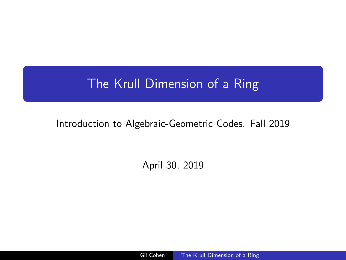# <span id="page-0-0"></span>The Krull Dimension of a Ring

# Introduction to Algebraic-Geometric Codes. Fall 2019

April 30, 2019

Gil Cohen The Krull Dimension of a Ring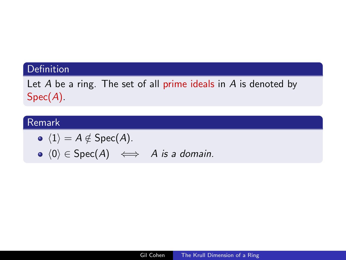# Definition

Let  $A$  be a ring. The set of all prime ideals in  $A$  is denoted by Spec(A).

# Remark

$$
\bullet \ \langle 1 \rangle = A \notin \text{Spec}(A).
$$

• 
$$
\langle 0 \rangle \in \text{Spec}(A) \iff A
$$
 is a domain.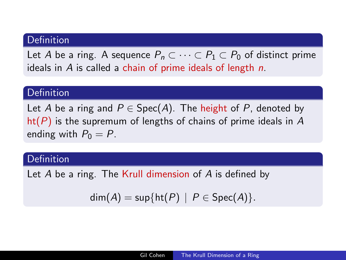## **Definition**

Let A be a ring. A sequence  $P_n \subset \cdots \subset P_1 \subset P_0$  of distinct prime ideals in  $\overline{A}$  is called a chain of prime ideals of length  $n$ .

### Definition

Let A be a ring and  $P \in \text{Spec}(A)$ . The height of P, denoted by  $ht(P)$  is the supremum of lengths of chains of prime ideals in A ending with  $P_0 = P$ .

## **Definition**

Let A be a ring. The Krull dimension of A is defined by

$$
\dim(A) = \sup\{\text{ht}(P) \mid P \in \text{Spec}(A)\}.
$$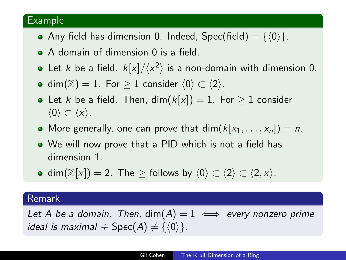#### Example

- Any field has dimension 0. Indeed,  $Spec(field) = \{\langle 0 \rangle\}.$
- A domain of dimension 0 is a field.
- Let k be a field.  $k[x]/\langle x^2 \rangle$  is a non-domain with dimension 0.
- dim( $\mathbb{Z}$ ) = 1. For  $\geq$  1 consider  $\langle 0 \rangle \subset \langle 2 \rangle$ .
- Let k be a field. Then,  $dim(k[x]) = 1$ . For  $\geq 1$  consider  $\langle 0 \rangle \subset \langle x \rangle$ .
- More generally, one can prove that  $dim(k[x_1, \ldots, x_n]) = n$ .
- We will now prove that a PID which is not a field has dimension 1.
- dim( $\mathbb{Z}[x]$ ) = 2. The  $\geq$  follows by  $\langle 0 \rangle \subset \langle 2 \rangle \subset \langle 2, x \rangle$ .

# Remark

Let A be a domain. Then,  $dim(A) = 1 \iff$  every nonzero prime ideal is maximal + Spec(A)  $\neq \{\langle 0 \rangle\}.$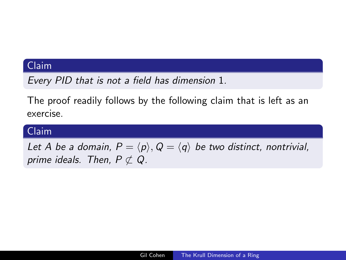Every PID that is not a field has dimension 1.

The proof readily follows by the following claim that is left as an exercise.

## Claim

Let A be a domain,  $P = \langle p \rangle$ ,  $Q = \langle q \rangle$  be two distinct, nontrivial, prime ideals. Then,  $P \not\subset Q$ .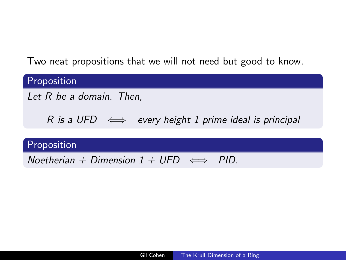Two neat propositions that we will not need but good to know.

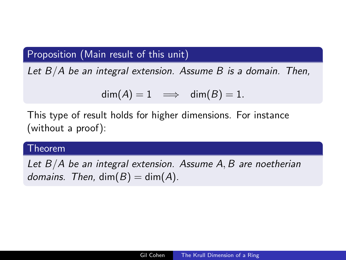# Proposition (Main result of this unit)

Let  $B/A$  be an integral extension. Assume B is a domain. Then,

$$
\dim(A) = 1 \implies \dim(B) = 1.
$$

This type of result holds for higher dimensions. For instance (without a proof):

#### Theorem

Let  $B/A$  be an integral extension. Assume A, B are noetherian domains. Then,  $dim(B) = dim(A)$ .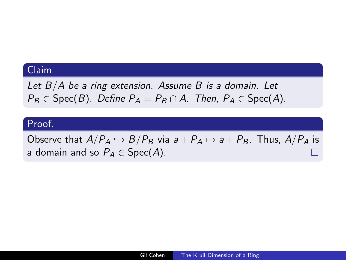Let  $B/A$  be a ring extension. Assume B is a domain. Let  $P_B \in \text{Spec}(B)$ . Define  $P_A = P_B \cap A$ . Then,  $P_A \in \text{Spec}(A)$ .

#### Proof.

Observe that  $A/P_A \hookrightarrow B/P_B$  via  $a + P_A \mapsto a + P_B$ . Thus,  $A/P_A$  is a domain and so  $P_A \in \text{Spec}(A)$ .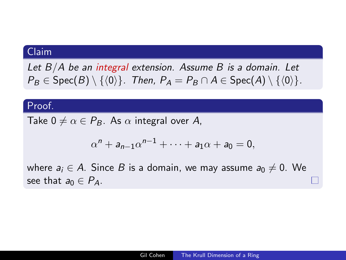Let  $B/A$  be an integral extension. Assume  $B$  is a domain. Let  $P_B \in \text{Spec}(B) \setminus \{ \langle 0 \rangle \}.$  Then,  $P_A = P_B \cap A \in \text{Spec}(A) \setminus \{ \langle 0 \rangle \}.$ 

#### Proof.

Take  $0 \neq \alpha \in P_B$ . As  $\alpha$  integral over A,

$$
\alpha^n + a_{n-1}\alpha^{n-1} + \cdots + a_1\alpha + a_0 = 0,
$$

where  $a_i \in A$ . Since B is a domain, we may assume  $a_0 \neq 0$ . We see that  $a_0 \in P_A$ .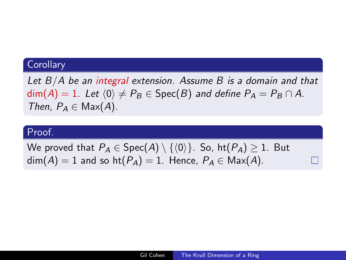#### **Corollary**

Let  $B/A$  be an integral extension. Assume B is a domain and that  $\dim(A) = 1$ . Let  $\langle 0 \rangle \neq P_B \in \text{Spec}(B)$  and define  $P_A = P_B \cap A$ . Then,  $P_A \in Max(A)$ .

#### Proof.

We proved that  $P_A \in \text{Spec}(A) \setminus \{ \langle 0 \rangle \}.$  So, ht $(P_A) \geq 1$ . But  $\dim(A) = 1$  and so  $\text{ht}(P_A) = 1$ . Hence,  $P_A \in \text{Max}(A)$ .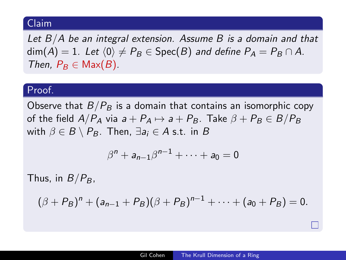Let  $B/A$  be an integral extension. Assume B is a domain and that  $\dim(A) = 1$ . Let  $\langle 0 \rangle \neq P_B \in \text{Spec}(B)$  and define  $P_A = P_B \cap A$ . Then,  $P_B \in Max(B)$ .

## Proof.

Observe that  $B/P_B$  is a domain that contains an isomorphic copy of the field  $A/P_A$  via  $a + P_A \mapsto a + P_B$ . Take  $\beta + P_B \in B/P_B$ with  $\beta \in B \setminus P_B$ . Then,  $\exists a_i \in A$  s.t. in B

$$
\beta^n + a_{n-1}\beta^{n-1} + \cdots + a_0 = 0
$$

Thus, in  $B/P_B$ ,

$$
(\beta + P_B)^n + (a_{n-1} + P_B)(\beta + P_B)^{n-1} + \cdots + (a_0 + P_B) = 0.
$$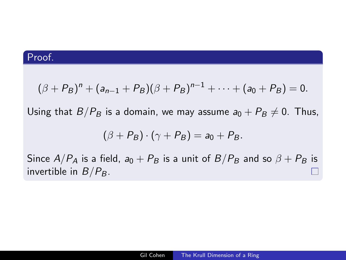# Proof.

$$
(\beta + P_B)^n + (a_{n-1} + P_B)(\beta + P_B)^{n-1} + \cdots + (a_0 + P_B) = 0.
$$

Using that  $B/P_B$  is a domain, we may assume  $a_0 + P_B \neq 0$ . Thus,

$$
(\beta + P_B) \cdot (\gamma + P_B) = a_0 + P_B.
$$

Since  $A/P_A$  is a field,  $a_0 + P_B$  is a unit of  $B/P_B$  and so  $\beta + P_B$  is invertible in  $B/P_B$ . Ш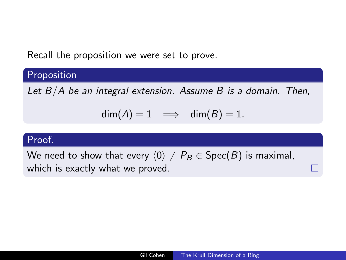Recall the proposition we were set to prove.

# Proposition

Let  $B/A$  be an integral extension. Assume  $B$  is a domain. Then,

$$
\dim(A) = 1 \implies \dim(B) = 1.
$$

# Proof.

We need to show that every  $\langle 0 \rangle \neq P_B \in \text{Spec}(B)$  is maximal, which is exactly what we proved.